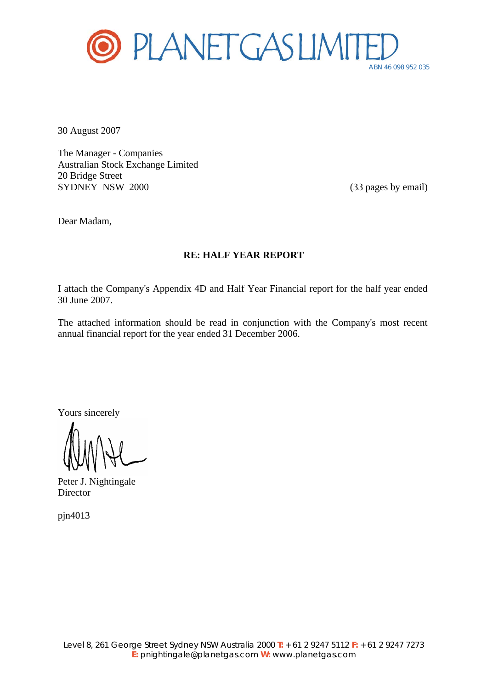

30 August 2007

The Manager - Companies Australian Stock Exchange Limited 20 Bridge Street SYDNEY NSW 2000 (33 pages by email)

Dear Madam,

### **RE: HALF YEAR REPORT**

I attach the Company's Appendix 4D and Half Year Financial report for the half year ended 30 June 2007.

The attached information should be read in conjunction with the Company's most recent annual financial report for the year ended 31 December 2006.

Yours sincerely

Peter J. Nightingale Director

pjn4013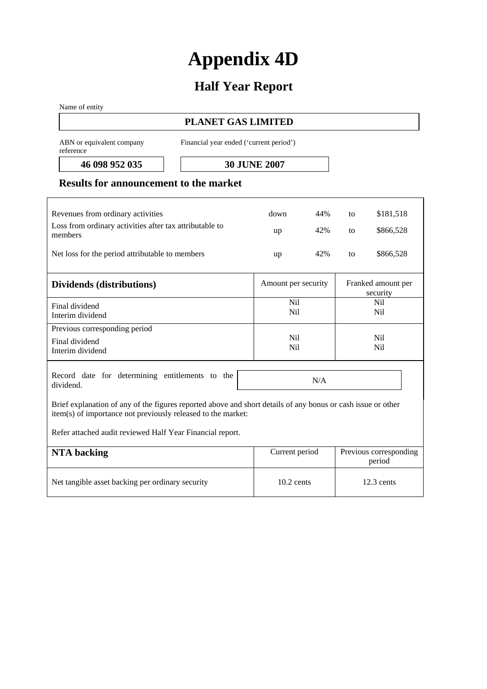# **Appendix 4D**

# **Half Year Report**

Name of entity

### **PLANET GAS LIMITED**

ABN or equivalent company reference

Financial year ended ('current period')

**46 098 952 035 30 JUNE 2007** 

### **Results for announcement to the market**

| Revenues from ordinary activities                                                                                                                                            | down                   | 44% | to | \$181,518                      |
|------------------------------------------------------------------------------------------------------------------------------------------------------------------------------|------------------------|-----|----|--------------------------------|
| Loss from ordinary activities after tax attributable to<br>members                                                                                                           | up                     | 42% | to | \$866,528                      |
| Net loss for the period attributable to members                                                                                                                              | up                     | 42% | to | \$866,528                      |
| Dividends (distributions)                                                                                                                                                    | Amount per security    |     |    | Franked amount per<br>security |
| Final dividend<br>Interim dividend                                                                                                                                           | Nil<br>Nil             |     |    | <b>Nil</b><br>N <sub>il</sub>  |
| Previous corresponding period                                                                                                                                                |                        |     |    |                                |
| Final dividend<br>Interim dividend                                                                                                                                           | N <sub>il</sub><br>Nil |     |    | Nil<br>Nil                     |
| Record date for determining entitlements to the<br>dividend.                                                                                                                 |                        | N/A |    |                                |
| Brief explanation of any of the figures reported above and short details of any bonus or cash issue or other<br>item(s) of importance not previously released to the market: |                        |     |    |                                |

Refer attached audit reviewed Half Year Financial report.

| NTA backing                                      | Current period | Previous corresponding<br>period |
|--------------------------------------------------|----------------|----------------------------------|
| Net tangible asset backing per ordinary security | $10.2$ cents   | $12.3$ cents                     |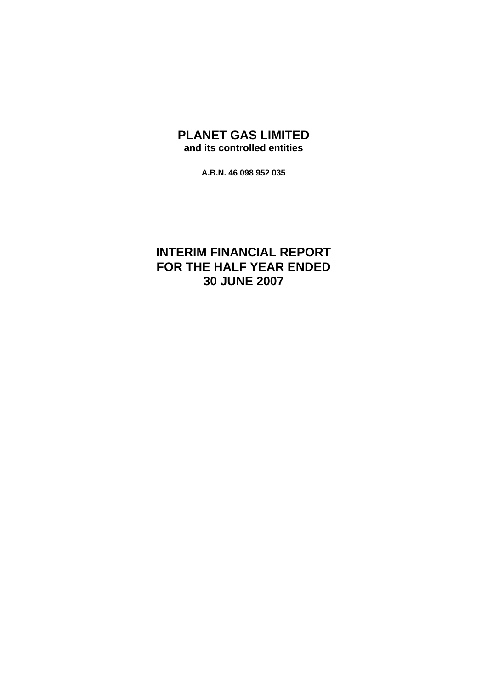### **PLANET GAS LIMITED and its controlled entities**

**A.B.N. 46 098 952 035** 

## **INTERIM FINANCIAL REPORT FOR THE HALF YEAR ENDED 30 JUNE 2007**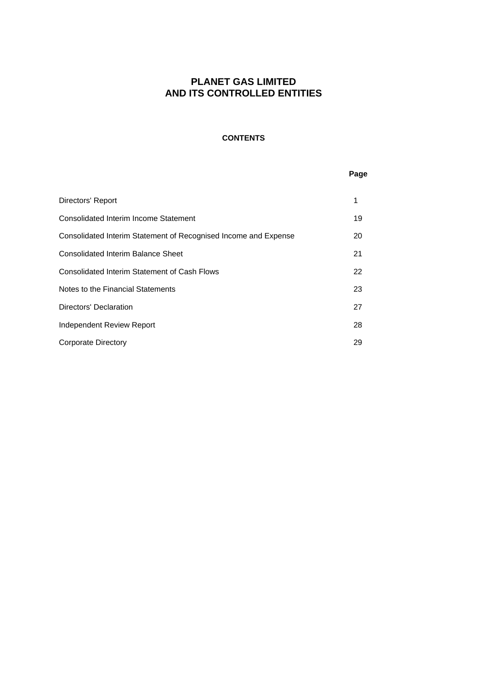### **CONTENTS**

#### **Page**

| Directors' Report                                               |    |
|-----------------------------------------------------------------|----|
| Consolidated Interim Income Statement                           | 19 |
| Consolidated Interim Statement of Recognised Income and Expense | 20 |
| <b>Consolidated Interim Balance Sheet</b>                       | 21 |
| Consolidated Interim Statement of Cash Flows                    | 22 |
| Notes to the Financial Statements                               | 23 |
| Directors' Declaration                                          | 27 |
| Independent Review Report                                       | 28 |
| Corporate Directory                                             | 29 |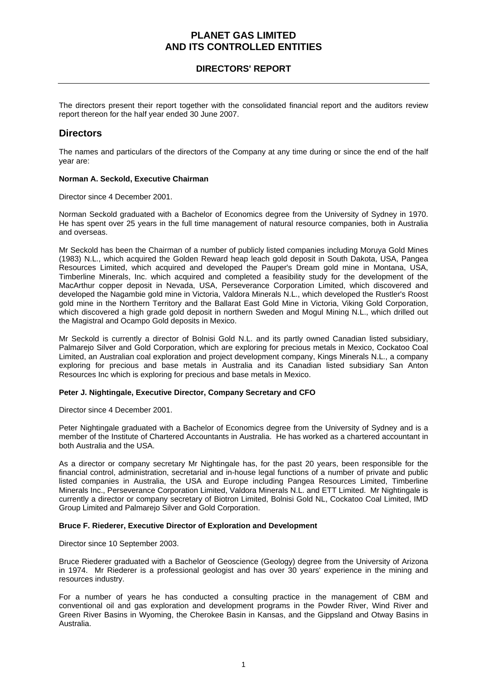### **DIRECTORS' REPORT**

The directors present their report together with the consolidated financial report and the auditors review report thereon for the half year ended 30 June 2007.

### **Directors**

The names and particulars of the directors of the Company at any time during or since the end of the half year are:

#### **Norman A. Seckold, Executive Chairman**

Director since 4 December 2001.

Norman Seckold graduated with a Bachelor of Economics degree from the University of Sydney in 1970. He has spent over 25 years in the full time management of natural resource companies, both in Australia and overseas.

Mr Seckold has been the Chairman of a number of publicly listed companies including Moruya Gold Mines (1983) N.L., which acquired the Golden Reward heap leach gold deposit in South Dakota, USA, Pangea Resources Limited, which acquired and developed the Pauper's Dream gold mine in Montana, USA, Timberline Minerals, Inc. which acquired and completed a feasibility study for the development of the MacArthur copper deposit in Nevada, USA, Perseverance Corporation Limited, which discovered and developed the Nagambie gold mine in Victoria, Valdora Minerals N.L., which developed the Rustler's Roost gold mine in the Northern Territory and the Ballarat East Gold Mine in Victoria, Viking Gold Corporation, which discovered a high grade gold deposit in northern Sweden and Mogul Mining N.L., which drilled out the Magistral and Ocampo Gold deposits in Mexico.

Mr Seckold is currently a director of Bolnisi Gold N.L. and its partly owned Canadian listed subsidiary, Palmarejo Silver and Gold Corporation, which are exploring for precious metals in Mexico, Cockatoo Coal Limited, an Australian coal exploration and project development company, Kings Minerals N.L., a company exploring for precious and base metals in Australia and its Canadian listed subsidiary San Anton Resources Inc which is exploring for precious and base metals in Mexico.

#### **Peter J. Nightingale, Executive Director, Company Secretary and CFO**

Director since 4 December 2001.

Peter Nightingale graduated with a Bachelor of Economics degree from the University of Sydney and is a member of the Institute of Chartered Accountants in Australia. He has worked as a chartered accountant in both Australia and the USA.

As a director or company secretary Mr Nightingale has, for the past 20 years, been responsible for the financial control, administration, secretarial and in-house legal functions of a number of private and public listed companies in Australia, the USA and Europe including Pangea Resources Limited, Timberline Minerals Inc., Perseverance Corporation Limited, Valdora Minerals N.L. and ETT Limited. Mr Nightingale is currently a director or company secretary of Biotron Limited, Bolnisi Gold NL, Cockatoo Coal Limited, IMD Group Limited and Palmarejo Silver and Gold Corporation.

#### **Bruce F. Riederer, Executive Director of Exploration and Development**

Director since 10 September 2003.

Bruce Riederer graduated with a Bachelor of Geoscience (Geology) degree from the University of Arizona in 1974. Mr Riederer is a professional geologist and has over 30 years' experience in the mining and resources industry.

For a number of years he has conducted a consulting practice in the management of CBM and conventional oil and gas exploration and development programs in the Powder River, Wind River and Green River Basins in Wyoming, the Cherokee Basin in Kansas, and the Gippsland and Otway Basins in Australia.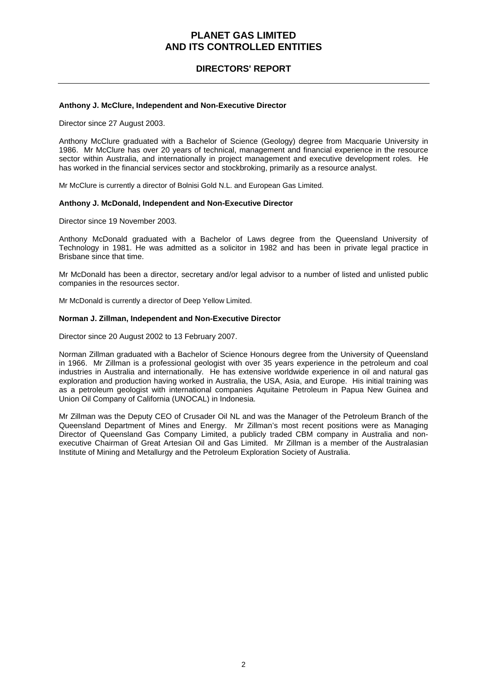### **DIRECTORS' REPORT**

#### **Anthony J. McClure, Independent and Non-Executive Director**

Director since 27 August 2003.

Anthony McClure graduated with a Bachelor of Science (Geology) degree from Macquarie University in 1986. Mr McClure has over 20 years of technical, management and financial experience in the resource sector within Australia, and internationally in project management and executive development roles. He has worked in the financial services sector and stockbroking, primarily as a resource analyst.

Mr McClure is currently a director of Bolnisi Gold N.L. and European Gas Limited.

#### **Anthony J. McDonald, Independent and Non-Executive Director**

Director since 19 November 2003.

Anthony McDonald graduated with a Bachelor of Laws degree from the Queensland University of Technology in 1981. He was admitted as a solicitor in 1982 and has been in private legal practice in Brisbane since that time.

Mr McDonald has been a director, secretary and/or legal advisor to a number of listed and unlisted public companies in the resources sector.

Mr McDonald is currently a director of Deep Yellow Limited.

#### **Norman J. Zillman, Independent and Non-Executive Director**

Director since 20 August 2002 to 13 February 2007.

Norman Zillman graduated with a Bachelor of Science Honours degree from the University of Queensland in 1966. Mr Zillman is a professional geologist with over 35 years experience in the petroleum and coal industries in Australia and internationally. He has extensive worldwide experience in oil and natural gas exploration and production having worked in Australia, the USA, Asia, and Europe. His initial training was as a petroleum geologist with international companies Aquitaine Petroleum in Papua New Guinea and Union Oil Company of California (UNOCAL) in Indonesia.

Mr Zillman was the Deputy CEO of Crusader Oil NL and was the Manager of the Petroleum Branch of the Queensland Department of Mines and Energy. Mr Zillman's most recent positions were as Managing Director of Queensland Gas Company Limited, a publicly traded CBM company in Australia and nonexecutive Chairman of Great Artesian Oil and Gas Limited. Mr Zillman is a member of the Australasian Institute of Mining and Metallurgy and the Petroleum Exploration Society of Australia.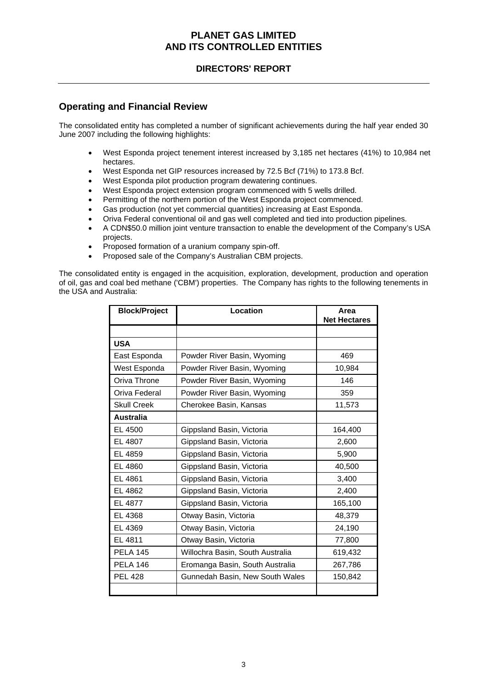### **DIRECTORS' REPORT**

### **Operating and Financial Review**

The consolidated entity has completed a number of significant achievements during the half year ended 30 June 2007 including the following highlights:

- West Esponda project tenement interest increased by 3,185 net hectares (41%) to 10,984 net hectares.
- West Esponda net GIP resources increased by 72.5 Bcf (71%) to 173.8 Bcf.
- West Esponda pilot production program dewatering continues.
- West Esponda project extension program commenced with 5 wells drilled.
- Permitting of the northern portion of the West Esponda project commenced.
- Gas production (not yet commercial quantities) increasing at East Esponda.
- Oriva Federal conventional oil and gas well completed and tied into production pipelines.
- A CDN\$50.0 million joint venture transaction to enable the development of the Company's USA projects.
- Proposed formation of a uranium company spin-off.
- Proposed sale of the Company's Australian CBM projects.

The consolidated entity is engaged in the acquisition, exploration, development, production and operation of oil, gas and coal bed methane ('CBM') properties. The Company has rights to the following tenements in the USA and Australia:

| <b>Block/Project</b> | Location                         | Area<br><b>Net Hectares</b> |
|----------------------|----------------------------------|-----------------------------|
|                      |                                  |                             |
| <b>USA</b>           |                                  |                             |
| East Esponda         | Powder River Basin, Wyoming      | 469                         |
| West Esponda         | Powder River Basin, Wyoming      | 10,984                      |
| Oriva Throne         | Powder River Basin, Wyoming      | 146                         |
| Oriva Federal        | Powder River Basin, Wyoming      | 359                         |
| <b>Skull Creek</b>   | Cherokee Basin, Kansas           | 11,573                      |
| <b>Australia</b>     |                                  |                             |
| EL 4500              | Gippsland Basin, Victoria        | 164,400                     |
| EL 4807              | Gippsland Basin, Victoria        | 2,600                       |
| EL 4859              | Gippsland Basin, Victoria        | 5,900                       |
| EL 4860              | Gippsland Basin, Victoria        | 40,500                      |
| EL 4861              | Gippsland Basin, Victoria        | 3,400                       |
| EL 4862              | Gippsland Basin, Victoria        | 2,400                       |
| EL 4877              | Gippsland Basin, Victoria        | 165,100                     |
| EL 4368              | Otway Basin, Victoria            | 48,379                      |
| EL 4369              | Otway Basin, Victoria            | 24,190                      |
| EL 4811              | Otway Basin, Victoria            | 77,800                      |
| <b>PELA 145</b>      | Willochra Basin, South Australia | 619,432                     |
| <b>PELA 146</b>      | Eromanga Basin, South Australia  | 267,786                     |
| <b>PEL 428</b>       | Gunnedah Basin, New South Wales  | 150,842                     |
|                      |                                  |                             |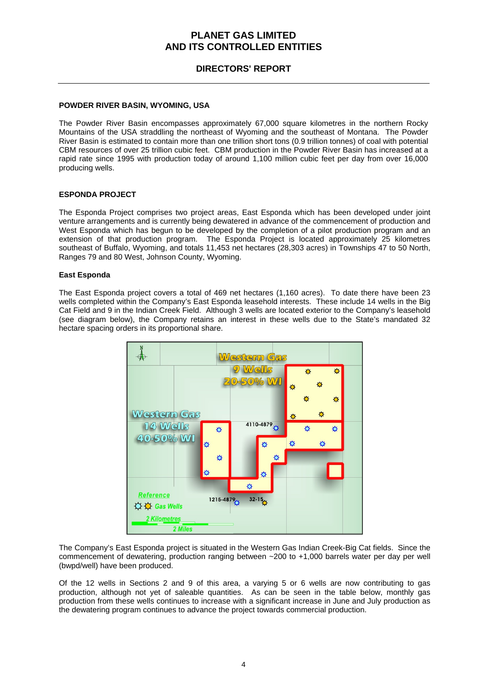### **DIRECTORS' REPORT**

#### **POWDER RIVER BASIN, WYOMING, USA**

The Powder River Basin encompasses approximately 67,000 square kilometres in the northern Rocky Mountains of the USA straddling the northeast of Wyoming and the southeast of Montana. The Powder River Basin is estimated to contain more than one trillion short tons (0.9 trillion tonnes) of coal with potential CBM resources of over 25 trillion cubic feet. CBM production in the Powder River Basin has increased at a rapid rate since 1995 with production today of around 1,100 million cubic feet per day from over 16,000 producing wells.

#### **ESPONDA PROJECT**

The Esponda Project comprises two project areas, East Esponda which has been developed under joint venture arrangements and is currently being dewatered in advance of the commencement of production and West Esponda which has begun to be developed by the completion of a pilot production program and an extension of that production program. The Esponda Project is located approximately 25 kilometres southeast of Buffalo, Wyoming, and totals 11,453 net hectares (28,303 acres) in Townships 47 to 50 North, Ranges 79 and 80 West, Johnson County, Wyoming.

#### **East Esponda**

The East Esponda project covers a total of 469 net hectares (1,160 acres). To date there have been 23 wells completed within the Company's East Esponda leasehold interests. These include 14 wells in the Big Cat Field and 9 in the Indian Creek Field. Although 3 wells are located exterior to the Company's leasehold (see diagram below), the Company retains an interest in these wells due to the State's mandated 32 hectare spacing orders in its proportional share.



The Company's East Esponda project is situated in the Western Gas Indian Creek-Big Cat fields. Since the commencement of dewatering, production ranging between ~200 to +1,000 barrels water per day per well (bwpd/well) have been produced.

Of the 12 wells in Sections 2 and 9 of this area, a varying 5 or 6 wells are now contributing to gas production, although not yet of saleable quantities. As can be seen in the table below, monthly gas production from these wells continues to increase with a significant increase in June and July production as the dewatering program continues to advance the project towards commercial production.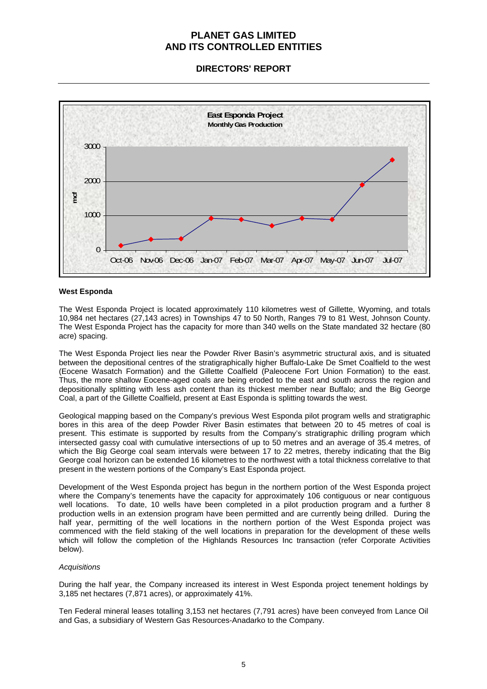**DIRECTORS' REPORT** 



#### **West Esponda**

The West Esponda Project is located approximately 110 kilometres west of Gillette, Wyoming, and totals 10,984 net hectares (27,143 acres) in Townships 47 to 50 North, Ranges 79 to 81 West, Johnson County. The West Esponda Project has the capacity for more than 340 wells on the State mandated 32 hectare (80 acre) spacing.

The West Esponda Project lies near the Powder River Basin's asymmetric structural axis, and is situated between the depositional centres of the stratigraphically higher Buffalo-Lake De Smet Coalfield to the west (Eocene Wasatch Formation) and the Gillette Coalfield (Paleocene Fort Union Formation) to the east. Thus, the more shallow Eocene-aged coals are being eroded to the east and south across the region and depositionally splitting with less ash content than its thickest member near Buffalo; and the Big George Coal, a part of the Gillette Coalfield, present at East Esponda is splitting towards the west.

Geological mapping based on the Company's previous West Esponda pilot program wells and stratigraphic bores in this area of the deep Powder River Basin estimates that between 20 to 45 metres of coal is present. This estimate is supported by results from the Company's stratigraphic drilling program which intersected gassy coal with cumulative intersections of up to 50 metres and an average of 35.4 metres, of which the Big George coal seam intervals were between 17 to 22 metres, thereby indicating that the Big George coal horizon can be extended 16 kilometres to the northwest with a total thickness correlative to that present in the western portions of the Company's East Esponda project.

Development of the West Esponda project has begun in the northern portion of the West Esponda project where the Company's tenements have the capacity for approximately 106 contiguous or near contiguous well locations. To date, 10 wells have been completed in a pilot production program and a further 8 production wells in an extension program have been permitted and are currently being drilled. During the half year, permitting of the well locations in the northern portion of the West Esponda project was commenced with the field staking of the well locations in preparation for the development of these wells which will follow the completion of the Highlands Resources Inc transaction (refer Corporate Activities below).

#### *Acquisitions*

During the half year, the Company increased its interest in West Esponda project tenement holdings by 3,185 net hectares (7,871 acres), or approximately 41%.

Ten Federal mineral leases totalling 3,153 net hectares (7,791 acres) have been conveyed from Lance Oil and Gas, a subsidiary of Western Gas Resources-Anadarko to the Company.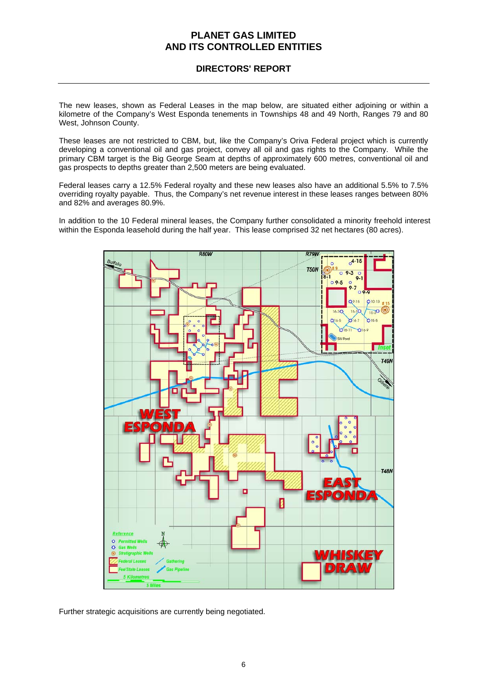### **DIRECTORS' REPORT**

The new leases, shown as Federal Leases in the map below, are situated either adjoining or within a kilometre of the Company's West Esponda tenements in Townships 48 and 49 North, Ranges 79 and 80 West, Johnson County.

These leases are not restricted to CBM, but, like the Company's Oriva Federal project which is currently developing a conventional oil and gas project, convey all oil and gas rights to the Company. While the primary CBM target is the Big George Seam at depths of approximately 600 metres, conventional oil and gas prospects to depths greater than 2,500 meters are being evaluated.

Federal leases carry a 12.5% Federal royalty and these new leases also have an additional 5.5% to 7.5% overriding royalty payable. Thus, the Company's net revenue interest in these leases ranges between 80% and 82% and averages 80.9%.

In addition to the 10 Federal mineral leases, the Company further consolidated a minority freehold interest within the Esponda leasehold during the half year. This lease comprised 32 net hectares (80 acres).



Further strategic acquisitions are currently being negotiated.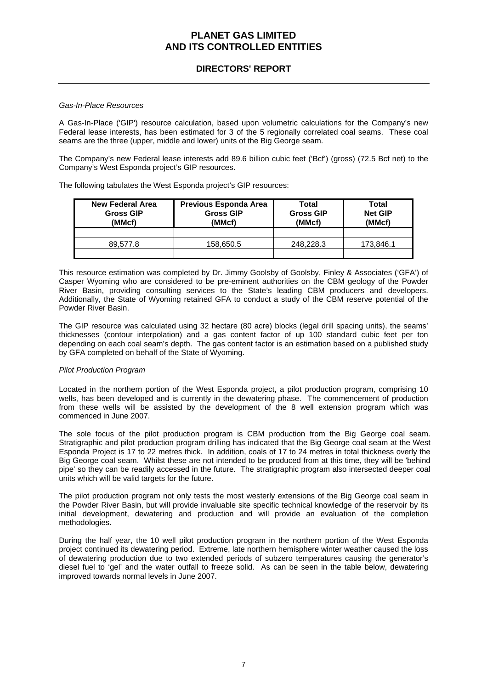### **DIRECTORS' REPORT**

#### *Gas-In-Place Resources*

A Gas-In-Place ('GIP') resource calculation, based upon volumetric calculations for the Company's new Federal lease interests, has been estimated for 3 of the 5 regionally correlated coal seams. These coal seams are the three (upper, middle and lower) units of the Big George seam.

The Company's new Federal lease interests add 89.6 billion cubic feet ('Bcf') (gross) (72.5 Bcf net) to the Company's West Esponda project's GIP resources.

The following tabulates the West Esponda project's GIP resources:

| New Federal Area<br><b>Gross GIP</b><br>(MMcf) | Previous Esponda Area<br><b>Gross GIP</b><br>(MMcf) | Total<br><b>Gross GIP</b><br>(MMcf) | Total<br><b>Net GIP</b><br>(MMcf) |
|------------------------------------------------|-----------------------------------------------------|-------------------------------------|-----------------------------------|
|                                                |                                                     |                                     |                                   |
| 89.577.8                                       | 158,650.5                                           | 248.228.3                           | 173,846.1                         |

This resource estimation was completed by Dr. Jimmy Goolsby of Goolsby, Finley & Associates ('GFA') of Casper Wyoming who are considered to be pre-eminent authorities on the CBM geology of the Powder River Basin, providing consulting services to the State's leading CBM producers and developers. Additionally, the State of Wyoming retained GFA to conduct a study of the CBM reserve potential of the Powder River Basin.

The GIP resource was calculated using 32 hectare (80 acre) blocks (legal drill spacing units), the seams' thicknesses (contour interpolation) and a gas content factor of up 100 standard cubic feet per ton depending on each coal seam's depth. The gas content factor is an estimation based on a published study by GFA completed on behalf of the State of Wyoming.

#### *Pilot Production Program*

Located in the northern portion of the West Esponda project, a pilot production program, comprising 10 wells, has been developed and is currently in the dewatering phase. The commencement of production from these wells will be assisted by the development of the 8 well extension program which was commenced in June 2007.

The sole focus of the pilot production program is CBM production from the Big George coal seam. Stratigraphic and pilot production program drilling has indicated that the Big George coal seam at the West Esponda Project is 17 to 22 metres thick. In addition, coals of 17 to 24 metres in total thickness overly the Big George coal seam. Whilst these are not intended to be produced from at this time, they will be 'behind pipe' so they can be readily accessed in the future. The stratigraphic program also intersected deeper coal units which will be valid targets for the future.

The pilot production program not only tests the most westerly extensions of the Big George coal seam in the Powder River Basin, but will provide invaluable site specific technical knowledge of the reservoir by its initial development, dewatering and production and will provide an evaluation of the completion methodologies.

During the half year, the 10 well pilot production program in the northern portion of the West Esponda project continued its dewatering period. Extreme, late northern hemisphere winter weather caused the loss of dewatering production due to two extended periods of subzero temperatures causing the generator's diesel fuel to 'gel' and the water outfall to freeze solid. As can be seen in the table below, dewatering improved towards normal levels in June 2007.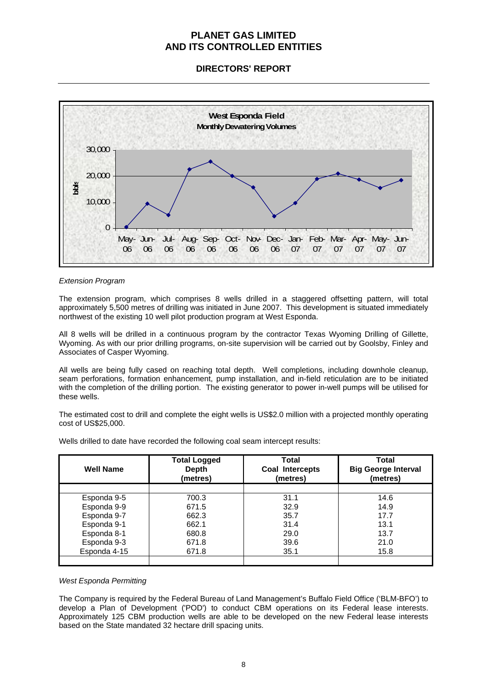**DIRECTORS' REPORT** 



#### *Extension Program*

The extension program, which comprises 8 wells drilled in a staggered offsetting pattern, will total approximately 5,500 metres of drilling was initiated in June 2007. This development is situated immediately northwest of the existing 10 well pilot production program at West Esponda.

All 8 wells will be drilled in a continuous program by the contractor Texas Wyoming Drilling of Gillette, Wyoming. As with our prior drilling programs, on-site supervision will be carried out by Goolsby, Finley and Associates of Casper Wyoming.

All wells are being fully cased on reaching total depth. Well completions, including downhole cleanup, seam perforations, formation enhancement, pump installation, and in-field reticulation are to be initiated with the completion of the drilling portion. The existing generator to power in-well pumps will be utilised for these wells.

The estimated cost to drill and complete the eight wells is US\$2.0 million with a projected monthly operating cost of US\$25,000.

Wells drilled to date have recorded the following coal seam intercept results:

| <b>Well Name</b> | <b>Total Logged</b><br><b>Depth</b><br>(metres) | <b>Total</b><br>Coal Intercepts<br>(metres) | Total<br><b>Big George Interval</b><br>(metres) |
|------------------|-------------------------------------------------|---------------------------------------------|-------------------------------------------------|
|                  |                                                 |                                             |                                                 |
| Esponda 9-5      | 700.3                                           | 31.1                                        | 14.6                                            |
| Esponda 9-9      | 671.5                                           | 32.9                                        | 14.9                                            |
| Esponda 9-7      | 662.3                                           | 35.7                                        | 17.7                                            |
| Esponda 9-1      | 662.1                                           | 31.4                                        | 13.1                                            |
| Esponda 8-1      | 680.8                                           | 29.0                                        | 13.7                                            |
| Esponda 9-3      | 671.8                                           | 39.6                                        | 21.0                                            |
| Esponda 4-15     | 671.8                                           | 35.1                                        | 15.8                                            |
|                  |                                                 |                                             |                                                 |

#### *West Esponda Permitting*

The Company is required by the Federal Bureau of Land Management's Buffalo Field Office ('BLM-BFO') to develop a Plan of Development ('POD') to conduct CBM operations on its Federal lease interests. Approximately 125 CBM production wells are able to be developed on the new Federal lease interests based on the State mandated 32 hectare drill spacing units.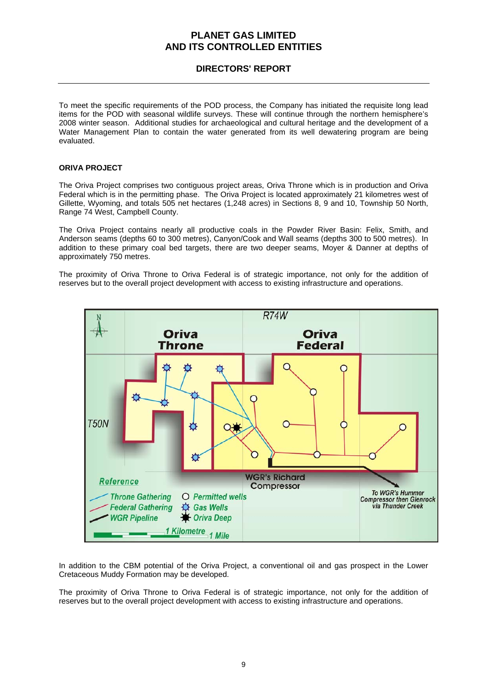### **DIRECTORS' REPORT**

To meet the specific requirements of the POD process, the Company has initiated the requisite long lead items for the POD with seasonal wildlife surveys. These will continue through the northern hemisphere's 2008 winter season. Additional studies for archaeological and cultural heritage and the development of a Water Management Plan to contain the water generated from its well dewatering program are being evaluated.

#### **ORIVA PROJECT**

The Oriva Project comprises two contiguous project areas, Oriva Throne which is in production and Oriva Federal which is in the permitting phase. The Oriva Project is located approximately 21 kilometres west of Gillette, Wyoming, and totals 505 net hectares (1,248 acres) in Sections 8, 9 and 10, Township 50 North, Range 74 West, Campbell County.

The Oriva Project contains nearly all productive coals in the Powder River Basin: Felix, Smith, and Anderson seams (depths 60 to 300 metres), Canyon/Cook and Wall seams (depths 300 to 500 metres). In addition to these primary coal bed targets, there are two deeper seams, Moyer & Danner at depths of approximately 750 metres.

The proximity of Oriva Throne to Oriva Federal is of strategic importance, not only for the addition of reserves but to the overall project development with access to existing infrastructure and operations.



In addition to the CBM potential of the Oriva Project, a conventional oil and gas prospect in the Lower Cretaceous Muddy Formation may be developed.

The proximity of Oriva Throne to Oriva Federal is of strategic importance, not only for the addition of reserves but to the overall project development with access to existing infrastructure and operations.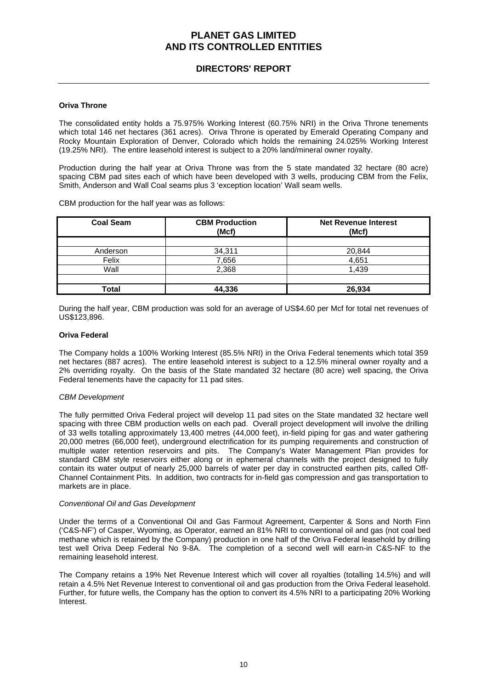### **DIRECTORS' REPORT**

#### **Oriva Throne**

The consolidated entity holds a 75.975% Working Interest (60.75% NRI) in the Oriva Throne tenements which total 146 net hectares (361 acres). Oriva Throne is operated by Emerald Operating Company and Rocky Mountain Exploration of Denver, Colorado which holds the remaining 24.025% Working Interest (19.25% NRI). The entire leasehold interest is subject to a 20% land/mineral owner royalty.

Production during the half year at Oriva Throne was from the 5 state mandated 32 hectare (80 acre) spacing CBM pad sites each of which have been developed with 3 wells, producing CBM from the Felix, Smith, Anderson and Wall Coal seams plus 3 'exception location' Wall seam wells.

CBM production for the half year was as follows:

| <b>Coal Seam</b> | <b>CBM Production</b><br>(Mcf) | <b>Net Revenue Interest</b><br>(Mcf) |
|------------------|--------------------------------|--------------------------------------|
|                  |                                |                                      |
| Anderson         | 34,311                         | 20,844                               |
| Felix            | 7,656                          | 4,651                                |
| Wall             | 2,368                          | 1.439                                |
|                  |                                |                                      |
| Total            | 44,336                         | 26.934                               |

During the half year, CBM production was sold for an average of US\$4.60 per Mcf for total net revenues of US\$123,896.

#### **Oriva Federal**

The Company holds a 100% Working Interest (85.5% NRI) in the Oriva Federal tenements which total 359 net hectares (887 acres). The entire leasehold interest is subject to a 12.5% mineral owner royalty and a 2% overriding royalty. On the basis of the State mandated 32 hectare (80 acre) well spacing, the Oriva Federal tenements have the capacity for 11 pad sites.

#### *CBM Development*

The fully permitted Oriva Federal project will develop 11 pad sites on the State mandated 32 hectare well spacing with three CBM production wells on each pad. Overall project development will involve the drilling of 33 wells totalling approximately 13,400 metres (44,000 feet), in-field piping for gas and water gathering 20,000 metres (66,000 feet), underground electrification for its pumping requirements and construction of multiple water retention reservoirs and pits. The Company's Water Management Plan provides for standard CBM style reservoirs either along or in ephemeral channels with the project designed to fully contain its water output of nearly 25,000 barrels of water per day in constructed earthen pits, called Off-Channel Containment Pits. In addition, two contracts for in-field gas compression and gas transportation to markets are in place.

#### *Conventional Oil and Gas Development*

Under the terms of a Conventional Oil and Gas Farmout Agreement, Carpenter & Sons and North Finn ('C&S-NF') of Casper, Wyoming, as Operator, earned an 81% NRI to conventional oil and gas (not coal bed methane which is retained by the Company) production in one half of the Oriva Federal leasehold by drilling test well Oriva Deep Federal No 9-8A. The completion of a second well will earn-in C&S-NF to the remaining leasehold interest.

The Company retains a 19% Net Revenue Interest which will cover all royalties (totalling 14.5%) and will retain a 4.5% Net Revenue Interest to conventional oil and gas production from the Oriva Federal leasehold. Further, for future wells, the Company has the option to convert its 4.5% NRI to a participating 20% Working Interest.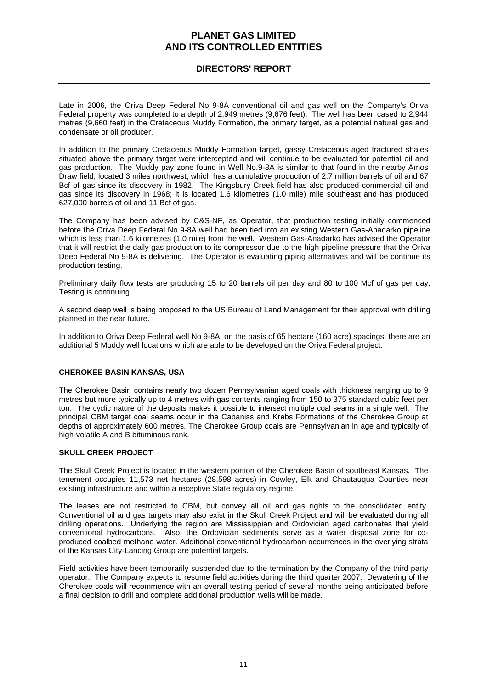### **DIRECTORS' REPORT**

Late in 2006, the Oriva Deep Federal No 9-8A conventional oil and gas well on the Company's Oriva Federal property was completed to a depth of 2,949 metres (9,676 feet). The well has been cased to 2,944 metres (9,660 feet) in the Cretaceous Muddy Formation, the primary target, as a potential natural gas and condensate or oil producer.

In addition to the primary Cretaceous Muddy Formation target, gassy Cretaceous aged fractured shales situated above the primary target were intercepted and will continue to be evaluated for potential oil and gas production. The Muddy pay zone found in Well No.9-8A is similar to that found in the nearby Amos Draw field, located 3 miles northwest, which has a cumulative production of 2.7 million barrels of oil and 67 Bcf of gas since its discovery in 1982. The Kingsbury Creek field has also produced commercial oil and gas since its discovery in 1968; it is located 1.6 kilometres (1.0 mile) mile southeast and has produced 627,000 barrels of oil and 11 Bcf of gas.

The Company has been advised by C&S-NF, as Operator, that production testing initially commenced before the Oriva Deep Federal No 9-8A well had been tied into an existing Western Gas-Anadarko pipeline which is less than 1.6 kilometres (1.0 mile) from the well. Western Gas-Anadarko has advised the Operator that it will restrict the daily gas production to its compressor due to the high pipeline pressure that the Oriva Deep Federal No 9-8A is delivering. The Operator is evaluating piping alternatives and will be continue its production testing.

Preliminary daily flow tests are producing 15 to 20 barrels oil per day and 80 to 100 Mcf of gas per day. Testing is continuing.

A second deep well is being proposed to the US Bureau of Land Management for their approval with drilling planned in the near future.

In addition to Oriva Deep Federal well No 9-8A, on the basis of 65 hectare (160 acre) spacings, there are an additional 5 Muddy well locations which are able to be developed on the Oriva Federal project.

#### **CHEROKEE BASIN KANSAS, USA**

The Cherokee Basin contains nearly two dozen Pennsylvanian aged coals with thickness ranging up to 9 metres but more typically up to 4 metres with gas contents ranging from 150 to 375 standard cubic feet per ton. The cyclic nature of the deposits makes it possible to intersect multiple coal seams in a single well. The principal CBM target coal seams occur in the Cabaniss and Krebs Formations of the Cherokee Group at depths of approximately 600 metres. The Cherokee Group coals are Pennsylvanian in age and typically of high-volatile A and B bituminous rank.

#### **SKULL CREEK PROJECT**

The Skull Creek Project is located in the western portion of the Cherokee Basin of southeast Kansas. The tenement occupies 11,573 net hectares (28,598 acres) in Cowley, Elk and Chautauqua Counties near existing infrastructure and within a receptive State regulatory regime.

The leases are not restricted to CBM, but convey all oil and gas rights to the consolidated entity. Conventional oil and gas targets may also exist in the Skull Creek Project and will be evaluated during all drilling operations. Underlying the region are Mississippian and Ordovician aged carbonates that yield conventional hydrocarbons. Also, the Ordovician sediments serve as a water disposal zone for coproduced coalbed methane water. Additional conventional hydrocarbon occurrences in the overlying strata of the Kansas City-Lancing Group are potential targets.

Field activities have been temporarily suspended due to the termination by the Company of the third party operator. The Company expects to resume field activities during the third quarter 2007. Dewatering of the Cherokee coals will recommence with an overall testing period of several months being anticipated before a final decision to drill and complete additional production wells will be made.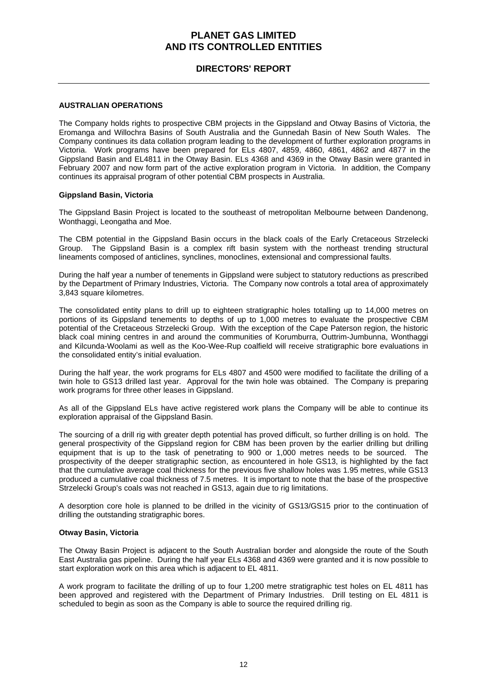### **DIRECTORS' REPORT**

#### **AUSTRALIAN OPERATIONS**

The Company holds rights to prospective CBM projects in the Gippsland and Otway Basins of Victoria, the Eromanga and Willochra Basins of South Australia and the Gunnedah Basin of New South Wales. The Company continues its data collation program leading to the development of further exploration programs in Victoria. Work programs have been prepared for ELs 4807, 4859, 4860, 4861, 4862 and 4877 in the Gippsland Basin and EL4811 in the Otway Basin. ELs 4368 and 4369 in the Otway Basin were granted in February 2007 and now form part of the active exploration program in Victoria. In addition, the Company continues its appraisal program of other potential CBM prospects in Australia.

#### **Gippsland Basin, Victoria**

The Gippsland Basin Project is located to the southeast of metropolitan Melbourne between Dandenong, Wonthaggi, Leongatha and Moe.

The CBM potential in the Gippsland Basin occurs in the black coals of the Early Cretaceous Strzelecki Group. The Gippsland Basin is a complex rift basin system with the northeast trending structural lineaments composed of anticlines, synclines, monoclines, extensional and compressional faults.

During the half year a number of tenements in Gippsland were subject to statutory reductions as prescribed by the Department of Primary Industries, Victoria. The Company now controls a total area of approximately 3,843 square kilometres.

The consolidated entity plans to drill up to eighteen stratigraphic holes totalling up to 14,000 metres on portions of its Gippsland tenements to depths of up to 1,000 metres to evaluate the prospective CBM potential of the Cretaceous Strzelecki Group. With the exception of the Cape Paterson region, the historic black coal mining centres in and around the communities of Korumburra, Outtrim-Jumbunna, Wonthaggi and Kilcunda-Woolami as well as the Koo-Wee-Rup coalfield will receive stratigraphic bore evaluations in the consolidated entity's initial evaluation.

During the half year, the work programs for ELs 4807 and 4500 were modified to facilitate the drilling of a twin hole to GS13 drilled last year. Approval for the twin hole was obtained. The Company is preparing work programs for three other leases in Gippsland.

As all of the Gippsland ELs have active registered work plans the Company will be able to continue its exploration appraisal of the Gippsland Basin.

The sourcing of a drill rig with greater depth potential has proved difficult, so further drilling is on hold. The general prospectivity of the Gippsland region for CBM has been proven by the earlier drilling but drilling equipment that is up to the task of penetrating to 900 or 1,000 metres needs to be sourced. The prospectivity of the deeper stratigraphic section, as encountered in hole GS13, is highlighted by the fact that the cumulative average coal thickness for the previous five shallow holes was 1.95 metres, while GS13 produced a cumulative coal thickness of 7.5 metres. It is important to note that the base of the prospective Strzelecki Group's coals was not reached in GS13, again due to rig limitations.

A desorption core hole is planned to be drilled in the vicinity of GS13/GS15 prior to the continuation of drilling the outstanding stratigraphic bores.

#### **Otway Basin, Victoria**

The Otway Basin Project is adjacent to the South Australian border and alongside the route of the South East Australia gas pipeline. During the half year ELs 4368 and 4369 were granted and it is now possible to start exploration work on this area which is adjacent to EL 4811.

A work program to facilitate the drilling of up to four 1,200 metre stratigraphic test holes on EL 4811 has been approved and registered with the Department of Primary Industries. Drill testing on EL 4811 is scheduled to begin as soon as the Company is able to source the required drilling rig.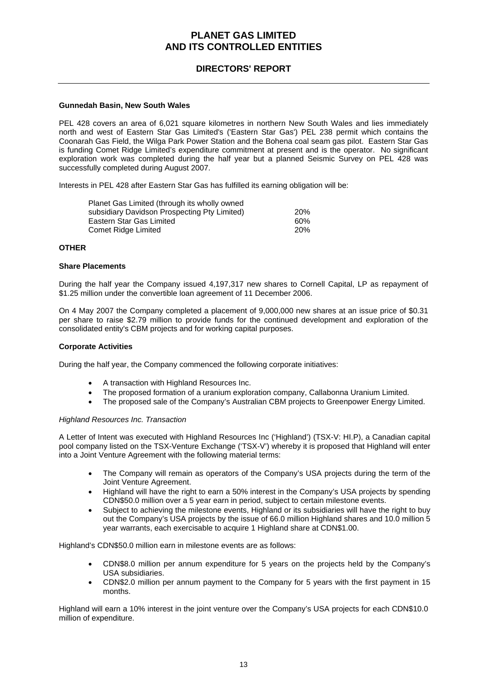### **DIRECTORS' REPORT**

#### **Gunnedah Basin, New South Wales**

PEL 428 covers an area of 6,021 square kilometres in northern New South Wales and lies immediately north and west of Eastern Star Gas Limited's ('Eastern Star Gas') PEL 238 permit which contains the Coonarah Gas Field, the Wilga Park Power Station and the Bohena coal seam gas pilot. Eastern Star Gas is funding Comet Ridge Limited's expenditure commitment at present and is the operator. No significant exploration work was completed during the half year but a planned Seismic Survey on PEL 428 was successfully completed during August 2007.

Interests in PEL 428 after Eastern Star Gas has fulfilled its earning obligation will be:

| Planet Gas Limited (through its wholly owned |            |
|----------------------------------------------|------------|
| subsidiary Davidson Prospecting Pty Limited) | <b>20%</b> |
| Eastern Star Gas Limited                     | 60%        |
| Comet Ridge Limited                          | 20%        |

#### **OTHER**

#### **Share Placements**

During the half year the Company issued 4,197,317 new shares to Cornell Capital, LP as repayment of \$1.25 million under the convertible loan agreement of 11 December 2006.

On 4 May 2007 the Company completed a placement of 9,000,000 new shares at an issue price of \$0.31 per share to raise \$2.79 million to provide funds for the continued development and exploration of the consolidated entity's CBM projects and for working capital purposes.

#### **Corporate Activities**

During the half year, the Company commenced the following corporate initiatives:

- A transaction with Highland Resources Inc.
- The proposed formation of a uranium exploration company, Callabonna Uranium Limited.
- The proposed sale of the Company's Australian CBM projects to Greenpower Energy Limited.

#### *Highland Resources Inc. Transaction*

A Letter of Intent was executed with Highland Resources Inc ('Highland') (TSX-V: HI.P), a Canadian capital pool company listed on the TSX-Venture Exchange ('TSX-V') whereby it is proposed that Highland will enter into a Joint Venture Agreement with the following material terms:

- The Company will remain as operators of the Company's USA projects during the term of the Joint Venture Agreement.
- Highland will have the right to earn a 50% interest in the Company's USA projects by spending CDN\$50.0 million over a 5 year earn in period, subject to certain milestone events.
- Subject to achieving the milestone events, Highland or its subsidiaries will have the right to buy out the Company's USA projects by the issue of 66.0 million Highland shares and 10.0 million 5 year warrants, each exercisable to acquire 1 Highland share at CDN\$1.00.

Highland's CDN\$50.0 million earn in milestone events are as follows:

- CDN\$8.0 million per annum expenditure for 5 years on the projects held by the Company's USA subsidiaries.
- CDN\$2.0 million per annum payment to the Company for 5 years with the first payment in 15 months.

Highland will earn a 10% interest in the joint venture over the Company's USA projects for each CDN\$10.0 million of expenditure.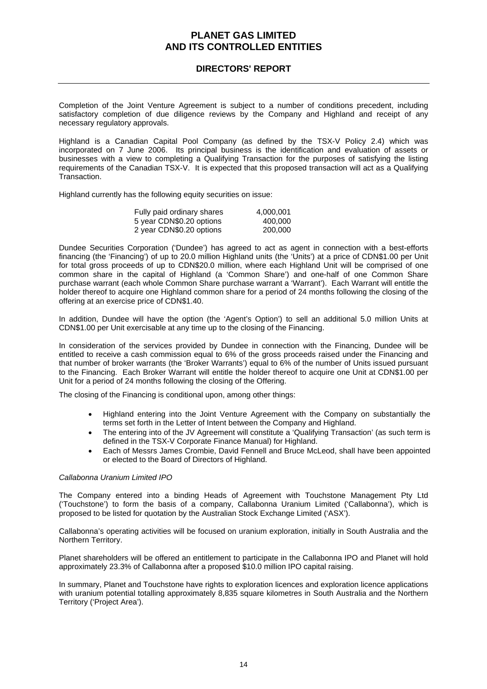### **DIRECTORS' REPORT**

Completion of the Joint Venture Agreement is subject to a number of conditions precedent, including satisfactory completion of due diligence reviews by the Company and Highland and receipt of any necessary regulatory approvals.

Highland is a Canadian Capital Pool Company (as defined by the TSX-V Policy 2.4) which was incorporated on 7 June 2006. Its principal business is the identification and evaluation of assets or businesses with a view to completing a Qualifying Transaction for the purposes of satisfying the listing requirements of the Canadian TSX-V. It is expected that this proposed transaction will act as a Qualifying Transaction.

Highland currently has the following equity securities on issue:

| Fully paid ordinary shares | 4,000,001 |
|----------------------------|-----------|
| 5 year CDN\$0.20 options   | 400.000   |
| 2 year CDN\$0.20 options   | 200,000   |

Dundee Securities Corporation ('Dundee') has agreed to act as agent in connection with a best-efforts financing (the 'Financing') of up to 20.0 million Highland units (the 'Units') at a price of CDN\$1.00 per Unit for total gross proceeds of up to CDN\$20.0 million, where each Highland Unit will be comprised of one common share in the capital of Highland (a 'Common Share') and one-half of one Common Share purchase warrant (each whole Common Share purchase warrant a 'Warrant'). Each Warrant will entitle the holder thereof to acquire one Highland common share for a period of 24 months following the closing of the offering at an exercise price of CDN\$1.40.

In addition, Dundee will have the option (the 'Agent's Option') to sell an additional 5.0 million Units at CDN\$1.00 per Unit exercisable at any time up to the closing of the Financing.

In consideration of the services provided by Dundee in connection with the Financing, Dundee will be entitled to receive a cash commission equal to 6% of the gross proceeds raised under the Financing and that number of broker warrants (the 'Broker Warrants') equal to 6% of the number of Units issued pursuant to the Financing. Each Broker Warrant will entitle the holder thereof to acquire one Unit at CDN\$1.00 per Unit for a period of 24 months following the closing of the Offering.

The closing of the Financing is conditional upon, among other things:

- Highland entering into the Joint Venture Agreement with the Company on substantially the terms set forth in the Letter of Intent between the Company and Highland.
- The entering into of the JV Agreement will constitute a 'Qualifying Transaction' (as such term is defined in the TSX-V Corporate Finance Manual) for Highland.
- Each of Messrs James Crombie, David Fennell and Bruce McLeod, shall have been appointed or elected to the Board of Directors of Highland.

#### *Callabonna Uranium Limited IPO*

The Company entered into a binding Heads of Agreement with Touchstone Management Pty Ltd ('Touchstone') to form the basis of a company, Callabonna Uranium Limited ('Callabonna'), which is proposed to be listed for quotation by the Australian Stock Exchange Limited ('ASX').

Callabonna's operating activities will be focused on uranium exploration, initially in South Australia and the Northern Territory.

Planet shareholders will be offered an entitlement to participate in the Callabonna IPO and Planet will hold approximately 23.3% of Callabonna after a proposed \$10.0 million IPO capital raising.

In summary, Planet and Touchstone have rights to exploration licences and exploration licence applications with uranium potential totalling approximately 8,835 square kilometres in South Australia and the Northern Territory ('Project Area').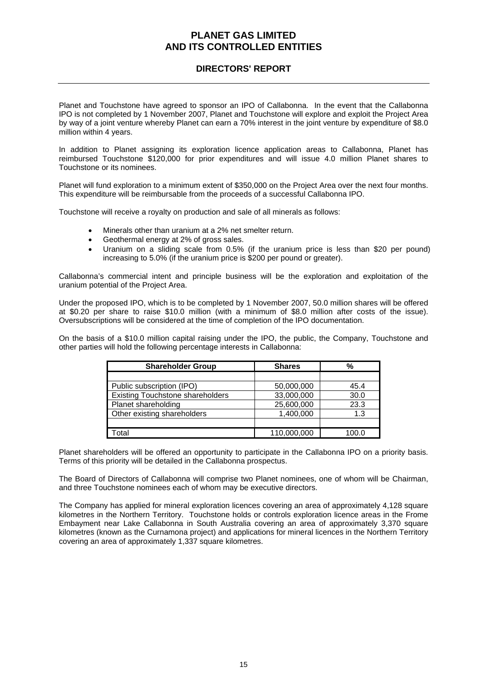### **DIRECTORS' REPORT**

Planet and Touchstone have agreed to sponsor an IPO of Callabonna. In the event that the Callabonna IPO is not completed by 1 November 2007, Planet and Touchstone will explore and exploit the Project Area by way of a joint venture whereby Planet can earn a 70% interest in the joint venture by expenditure of \$8.0 million within 4 years.

In addition to Planet assigning its exploration licence application areas to Callabonna, Planet has reimbursed Touchstone \$120,000 for prior expenditures and will issue 4.0 million Planet shares to Touchstone or its nominees.

Planet will fund exploration to a minimum extent of \$350,000 on the Project Area over the next four months. This expenditure will be reimbursable from the proceeds of a successful Callabonna IPO.

Touchstone will receive a royalty on production and sale of all minerals as follows:

- Minerals other than uranium at a 2% net smelter return.
- Geothermal energy at 2% of gross sales.
- Uranium on a sliding scale from 0.5% (if the uranium price is less than \$20 per pound) increasing to 5.0% (if the uranium price is \$200 per pound or greater).

Callabonna's commercial intent and principle business will be the exploration and exploitation of the uranium potential of the Project Area.

Under the proposed IPO, which is to be completed by 1 November 2007, 50.0 million shares will be offered at \$0.20 per share to raise \$10.0 million (with a minimum of \$8.0 million after costs of the issue). Oversubscriptions will be considered at the time of completion of the IPO documentation.

On the basis of a \$10.0 million capital raising under the IPO, the public, the Company, Touchstone and other parties will hold the following percentage interests in Callabonna:

| <b>Shareholder Group</b>                | <b>Shares</b> | %     |
|-----------------------------------------|---------------|-------|
|                                         |               |       |
| Public subscription (IPO)               | 50,000,000    | 45.4  |
| <b>Existing Touchstone shareholders</b> | 33,000,000    | 30.0  |
| Planet shareholding                     | 25,600,000    | 23.3  |
| Other existing shareholders             | 1,400,000     | 1.3   |
|                                         |               |       |
| otal                                    | 110,000,000   | 100.0 |

Planet shareholders will be offered an opportunity to participate in the Callabonna IPO on a priority basis. Terms of this priority will be detailed in the Callabonna prospectus.

The Board of Directors of Callabonna will comprise two Planet nominees, one of whom will be Chairman, and three Touchstone nominees each of whom may be executive directors.

The Company has applied for mineral exploration licences covering an area of approximately 4,128 square kilometres in the Northern Territory. Touchstone holds or controls exploration licence areas in the Frome Embayment near Lake Callabonna in South Australia covering an area of approximately 3,370 square kilometres (known as the Curnamona project) and applications for mineral licences in the Northern Territory covering an area of approximately 1,337 square kilometres.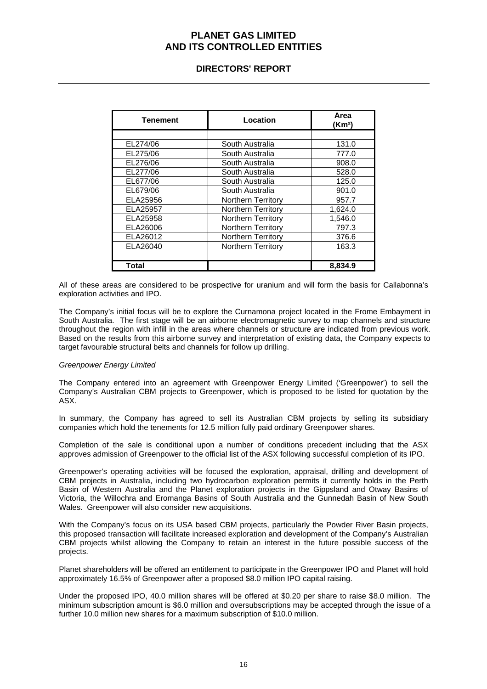### **DIRECTORS' REPORT**

| <b>Tenement</b> | Location                  | Area<br>(Km <sup>2</sup> ) |
|-----------------|---------------------------|----------------------------|
|                 |                           |                            |
| EL274/06        | South Australia           | 131.0                      |
| EL275/06        | South Australia           | 777.0                      |
| EL276/06        | South Australia           | 908.0                      |
| EL277/06        | South Australia           | 528.0                      |
| EL677/06        | South Australia           | 125.0                      |
| EL679/06        | South Australia           | 901.0                      |
| ELA25956        | <b>Northern Territory</b> | 957.7                      |
| ELA25957        | <b>Northern Territory</b> | 1,624.0                    |
| ELA25958        | <b>Northern Territory</b> | 1.546.0                    |
| ELA26006        | <b>Northern Territory</b> | 797.3                      |
| ELA26012        | <b>Northern Territory</b> | 376.6                      |
| ELA26040        | Northern Territory        | 163.3                      |
|                 |                           |                            |
| Total           |                           | 8,834.9                    |

All of these areas are considered to be prospective for uranium and will form the basis for Callabonna's exploration activities and IPO.

The Company's initial focus will be to explore the Curnamona project located in the Frome Embayment in South Australia. The first stage will be an airborne electromagnetic survey to map channels and structure throughout the region with infill in the areas where channels or structure are indicated from previous work. Based on the results from this airborne survey and interpretation of existing data, the Company expects to target favourable structural belts and channels for follow up drilling.

#### *Greenpower Energy Limited*

The Company entered into an agreement with Greenpower Energy Limited ('Greenpower') to sell the Company's Australian CBM projects to Greenpower, which is proposed to be listed for quotation by the ASX.

In summary, the Company has agreed to sell its Australian CBM projects by selling its subsidiary companies which hold the tenements for 12.5 million fully paid ordinary Greenpower shares.

Completion of the sale is conditional upon a number of conditions precedent including that the ASX approves admission of Greenpower to the official list of the ASX following successful completion of its IPO.

Greenpower's operating activities will be focused the exploration, appraisal, drilling and development of CBM projects in Australia, including two hydrocarbon exploration permits it currently holds in the Perth Basin of Western Australia and the Planet exploration projects in the Gippsland and Otway Basins of Victoria, the Willochra and Eromanga Basins of South Australia and the Gunnedah Basin of New South Wales. Greenpower will also consider new acquisitions.

With the Company's focus on its USA based CBM projects, particularly the Powder River Basin projects, this proposed transaction will facilitate increased exploration and development of the Company's Australian CBM projects whilst allowing the Company to retain an interest in the future possible success of the projects.

Planet shareholders will be offered an entitlement to participate in the Greenpower IPO and Planet will hold approximately 16.5% of Greenpower after a proposed \$8.0 million IPO capital raising.

Under the proposed IPO, 40.0 million shares will be offered at \$0.20 per share to raise \$8.0 million. The minimum subscription amount is \$6.0 million and oversubscriptions may be accepted through the issue of a further 10.0 million new shares for a maximum subscription of \$10.0 million.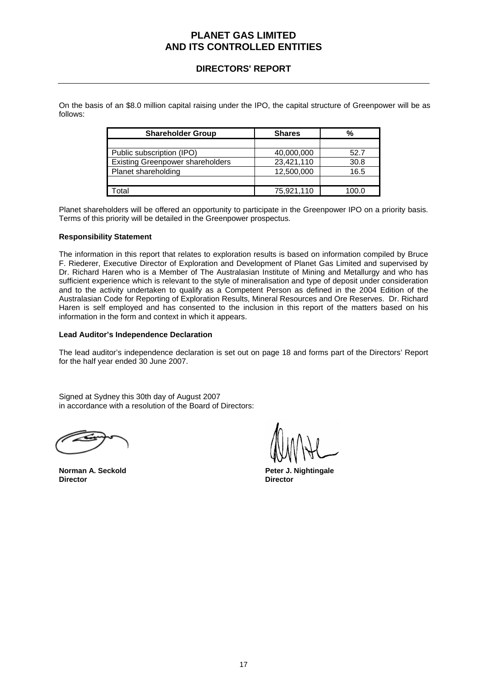### **DIRECTORS' REPORT**

On the basis of an \$8.0 million capital raising under the IPO, the capital structure of Greenpower will be as follows:

| <b>Shareholder Group</b>                | <b>Shares</b> | %    |
|-----------------------------------------|---------------|------|
|                                         |               |      |
| Public subscription (IPO)               | 40,000,000    | 52.7 |
| <b>Existing Greenpower shareholders</b> | 23,421,110    | 30.8 |
| Planet shareholding                     | 12,500,000    | 16.5 |
|                                         |               |      |
| otal                                    | 75,921,110    |      |

Planet shareholders will be offered an opportunity to participate in the Greenpower IPO on a priority basis. Terms of this priority will be detailed in the Greenpower prospectus.

#### **Responsibility Statement**

The information in this report that relates to exploration results is based on information compiled by Bruce F. Riederer, Executive Director of Exploration and Development of Planet Gas Limited and supervised by Dr. Richard Haren who is a Member of The Australasian Institute of Mining and Metallurgy and who has sufficient experience which is relevant to the style of mineralisation and type of deposit under consideration and to the activity undertaken to qualify as a Competent Person as defined in the 2004 Edition of the Australasian Code for Reporting of Exploration Results, Mineral Resources and Ore Reserves. Dr. Richard Haren is self employed and has consented to the inclusion in this report of the matters based on his information in the form and context in which it appears.

#### **Lead Auditor's Independence Declaration**

The lead auditor's independence declaration is set out on page 18 and forms part of the Directors' Report for the half year ended 30 June 2007.

Signed at Sydney this 30th day of August 2007 in accordance with a resolution of the Board of Directors:

**Director Director** 

**Norman A. Seckold Peter J. Nightingale**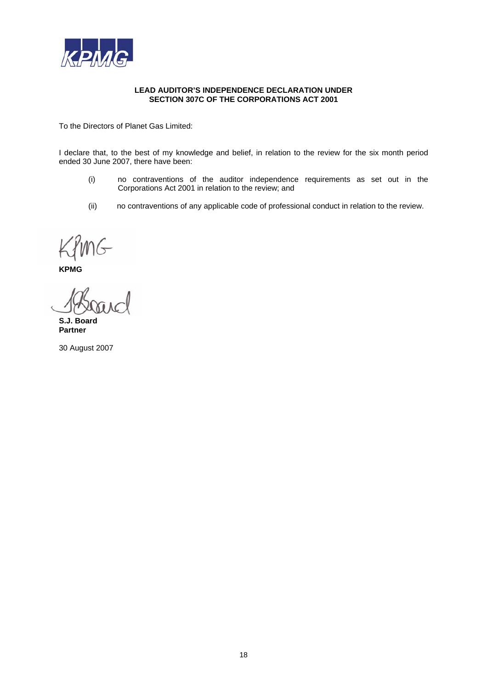

#### **LEAD AUDITOR'S INDEPENDENCE DECLARATION UNDER SECTION 307C OF THE CORPORATIONS ACT 2001**

To the Directors of Planet Gas Limited:

I declare that, to the best of my knowledge and belief, in relation to the review for the six month period ended 30 June 2007, there have been:

- (i) no contraventions of the auditor independence requirements as set out in the Corporations Act 2001 in relation to the review; and
- (ii) no contraventions of any applicable code of professional conduct in relation to the review.

**KPMG** 

**S.J. Board Partner** 

30 August 2007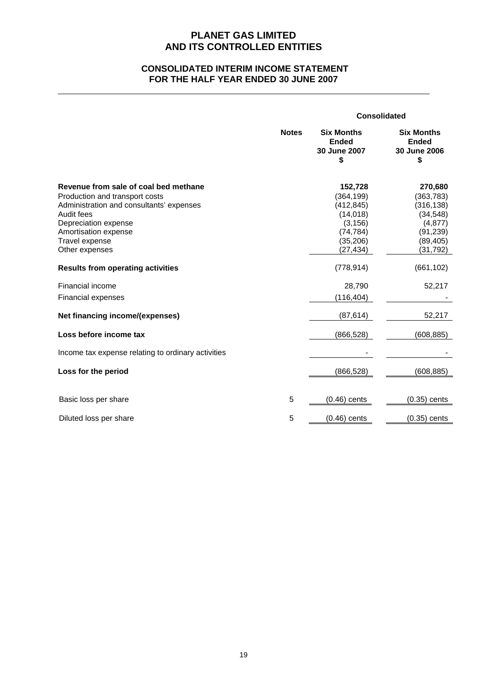### **CONSOLIDATED INTERIM INCOME STATEMENT FOR THE HALF YEAR ENDED 30 JUNE 2007**

|                                                                                                                                                                                                                       |              | <b>Consolidated</b>                                                                                |                                                                                                     |
|-----------------------------------------------------------------------------------------------------------------------------------------------------------------------------------------------------------------------|--------------|----------------------------------------------------------------------------------------------------|-----------------------------------------------------------------------------------------------------|
|                                                                                                                                                                                                                       | <b>Notes</b> | <b>Six Months</b><br><b>Ended</b><br>30 June 2007<br>\$                                            | <b>Six Months</b><br><b>Ended</b><br>30 June 2006<br>\$                                             |
| Revenue from sale of coal bed methane<br>Production and transport costs<br>Administration and consultants' expenses<br>Audit fees<br>Depreciation expense<br>Amortisation expense<br>Travel expense<br>Other expenses |              | 152,728<br>(364,199)<br>(412, 845)<br>(14, 018)<br>(3, 156)<br>(74, 784)<br>(35, 206)<br>(27, 434) | 270,680<br>(363, 783)<br>(316, 138)<br>(34, 548)<br>(4, 877)<br>(91, 239)<br>(89, 405)<br>(31, 792) |
| <b>Results from operating activities</b>                                                                                                                                                                              |              | (778, 914)                                                                                         | (661, 102)                                                                                          |
| Financial income<br><b>Financial expenses</b>                                                                                                                                                                         |              | 28,790<br>(116, 404)                                                                               | 52,217                                                                                              |
| Net financing income/(expenses)                                                                                                                                                                                       |              | (87, 614)                                                                                          | 52,217                                                                                              |
| Loss before income tax<br>Income tax expense relating to ordinary activities                                                                                                                                          |              | (866, 528)                                                                                         | (608, 885)                                                                                          |
| Loss for the period                                                                                                                                                                                                   |              | (866, 528)                                                                                         | (608, 885)                                                                                          |
| Basic loss per share                                                                                                                                                                                                  | 5            | $(0.46)$ cents                                                                                     | $(0.35)$ cents                                                                                      |
| Diluted loss per share                                                                                                                                                                                                | 5            | $(0.46)$ cents                                                                                     | $(0.35)$ cents                                                                                      |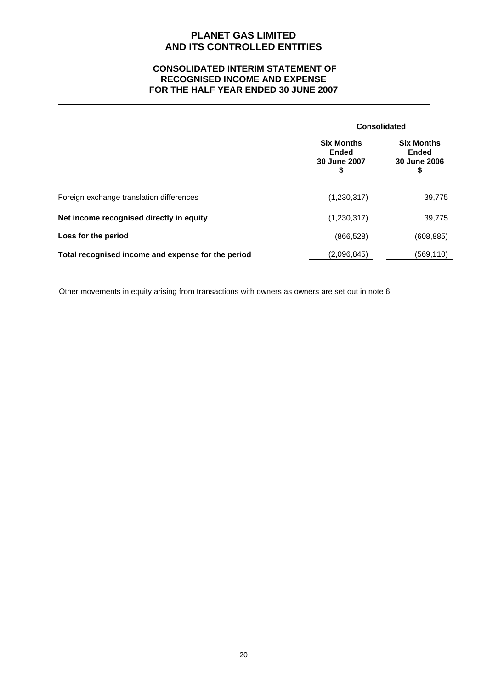### **CONSOLIDATED INTERIM STATEMENT OF RECOGNISED INCOME AND EXPENSE FOR THE HALF YEAR ENDED 30 JUNE 2007**

|                                                    |                                                         | <b>Consolidated</b>                                     |  |
|----------------------------------------------------|---------------------------------------------------------|---------------------------------------------------------|--|
|                                                    | <b>Six Months</b><br><b>Ended</b><br>30 June 2007<br>\$ | <b>Six Months</b><br><b>Ended</b><br>30 June 2006<br>\$ |  |
| Foreign exchange translation differences           | (1,230,317)                                             | 39,775                                                  |  |
| Net income recognised directly in equity           | (1,230,317)                                             | 39,775                                                  |  |
| Loss for the period                                | (866, 528)                                              | (608, 885)                                              |  |
| Total recognised income and expense for the period | (2,096,845)                                             | (569, 110)                                              |  |

Other movements in equity arising from transactions with owners as owners are set out in note 6.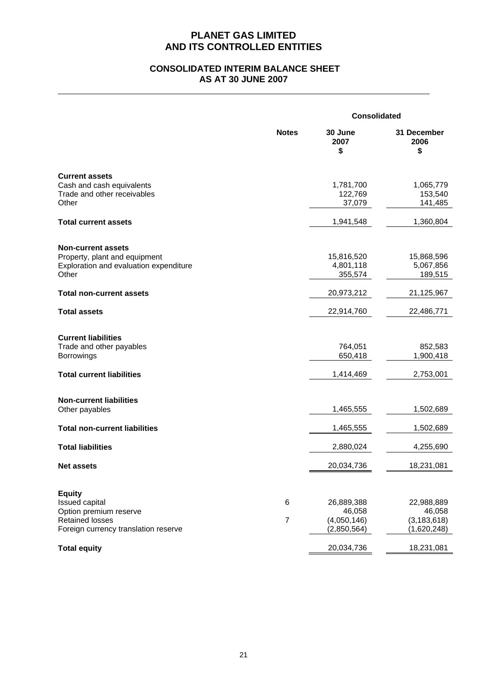### **CONSOLIDATED INTERIM BALANCE SHEET AS AT 30 JUNE 2007**

|                                                                   | <b>Consolidated</b> |                                |                                 |
|-------------------------------------------------------------------|---------------------|--------------------------------|---------------------------------|
|                                                                   | <b>Notes</b>        | 30 June<br>2007<br>\$          | 31 December<br>2006<br>\$       |
| <b>Current assets</b>                                             |                     |                                |                                 |
| Cash and cash equivalents<br>Trade and other receivables<br>Other |                     | 1,781,700<br>122,769<br>37,079 | 1,065,779<br>153,540<br>141,485 |
| <b>Total current assets</b>                                       |                     | 1,941,548                      | 1,360,804                       |
| <b>Non-current assets</b>                                         |                     |                                |                                 |
| Property, plant and equipment                                     |                     | 15,816,520                     | 15,868,596                      |
| Exploration and evaluation expenditure                            |                     | 4,801,118                      | 5,067,856                       |
| Other                                                             |                     | 355,574                        | 189,515                         |
| <b>Total non-current assets</b>                                   |                     | 20,973,212                     | 21,125,967                      |
| <b>Total assets</b>                                               |                     | 22,914,760                     | 22,486,771                      |
|                                                                   |                     |                                |                                 |
| <b>Current liabilities</b><br>Trade and other payables            |                     | 764,051                        | 852,583                         |
| <b>Borrowings</b>                                                 |                     | 650,418                        | 1,900,418                       |
| <b>Total current liabilities</b>                                  |                     | 1,414,469                      | 2,753,001                       |
|                                                                   |                     |                                |                                 |
| <b>Non-current liabilities</b>                                    |                     |                                |                                 |
| Other payables                                                    |                     | 1,465,555                      | 1,502,689                       |
| <b>Total non-current liabilities</b>                              |                     | 1,465,555                      | 1,502,689                       |
| <b>Total liabilities</b>                                          |                     | 2,880,024                      | 4,255,690                       |
| <b>Net assets</b>                                                 |                     | 20,034,736                     | 18,231,081                      |
|                                                                   |                     |                                |                                 |
| <b>Equity</b>                                                     |                     |                                |                                 |
| Issued capital<br>Option premium reserve                          | 6                   | 26,889,388<br>46,058           | 22,988,889<br>46,058            |
| <b>Retained losses</b>                                            | $\overline{7}$      | (4,050,146)                    | (3, 183, 618)                   |
| Foreign currency translation reserve                              |                     | (2,850,564)                    | (1,620,248)                     |
| <b>Total equity</b>                                               |                     | 20,034,736                     | 18,231,081                      |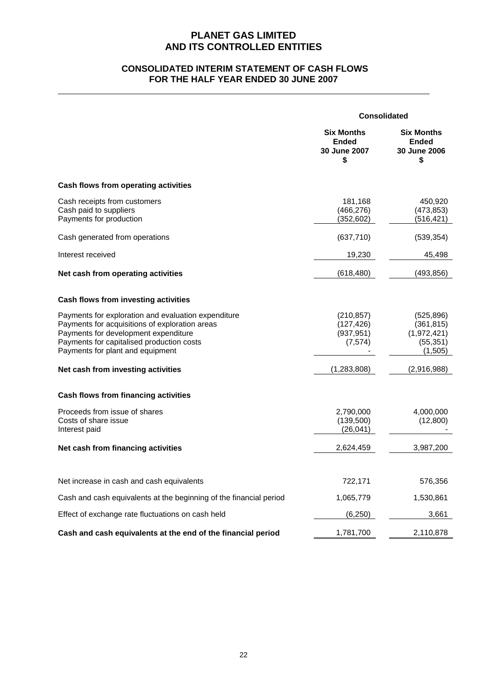### **CONSOLIDATED INTERIM STATEMENT OF CASH FLOWS FOR THE HALF YEAR ENDED 30 JUNE 2007**

|                                                                                                                                                                                                                                | Consolidated                                            |                                                                 |
|--------------------------------------------------------------------------------------------------------------------------------------------------------------------------------------------------------------------------------|---------------------------------------------------------|-----------------------------------------------------------------|
|                                                                                                                                                                                                                                | <b>Six Months</b><br><b>Ended</b><br>30 June 2007<br>\$ | <b>Six Months</b><br>Ended<br>30 June 2006<br>\$                |
| Cash flows from operating activities                                                                                                                                                                                           |                                                         |                                                                 |
| Cash receipts from customers<br>Cash paid to suppliers<br>Payments for production                                                                                                                                              | 181,168<br>(466, 276)<br>(352, 602)                     | 450,920<br>(473, 853)<br>(516, 421)                             |
| Cash generated from operations                                                                                                                                                                                                 | (637, 710)                                              | (539, 354)                                                      |
| Interest received                                                                                                                                                                                                              | 19,230                                                  | 45,498                                                          |
| Net cash from operating activities                                                                                                                                                                                             | (618, 480)                                              | (493, 856)                                                      |
| Cash flows from investing activities                                                                                                                                                                                           |                                                         |                                                                 |
| Payments for exploration and evaluation expenditure<br>Payments for acquisitions of exploration areas<br>Payments for development expenditure<br>Payments for capitalised production costs<br>Payments for plant and equipment | (210, 857)<br>(127, 426)<br>(937, 951)<br>(7, 574)      | (525, 896)<br>(361, 815)<br>(1,972,421)<br>(55, 351)<br>(1,505) |
| Net cash from investing activities                                                                                                                                                                                             | (1, 283, 808)                                           | (2,916,988)                                                     |
| Cash flows from financing activities                                                                                                                                                                                           |                                                         |                                                                 |
| Proceeds from issue of shares<br>Costs of share issue<br>Interest paid                                                                                                                                                         | 2,790,000<br>(139,500)<br>(26, 041)                     | 4,000,000<br>(12,800)                                           |
| Net cash from financing activities                                                                                                                                                                                             | 2,624,459                                               | 3,987,200                                                       |
|                                                                                                                                                                                                                                |                                                         |                                                                 |
| Net increase in cash and cash equivalents                                                                                                                                                                                      | 722,171                                                 | 576,356                                                         |
| Cash and cash equivalents at the beginning of the financial period                                                                                                                                                             | 1,065,779                                               | 1,530,861                                                       |
| Effect of exchange rate fluctuations on cash held                                                                                                                                                                              | (6, 250)                                                | 3,661                                                           |
| Cash and cash equivalents at the end of the financial period                                                                                                                                                                   | 1,781,700                                               | 2,110,878                                                       |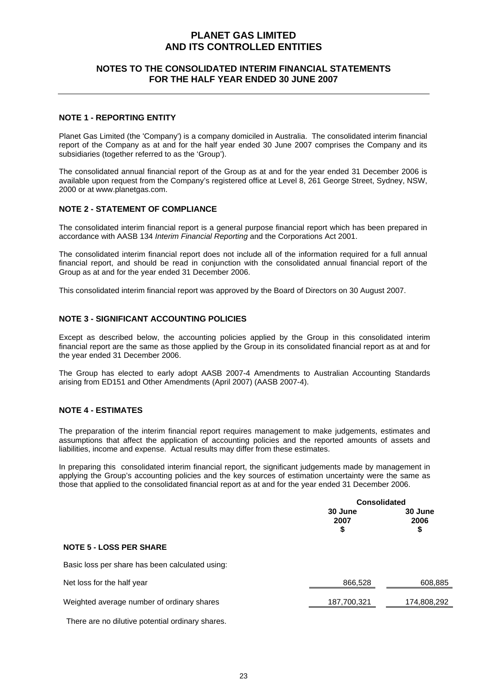### **NOTES TO THE CONSOLIDATED INTERIM FINANCIAL STATEMENTS FOR THE HALF YEAR ENDED 30 JUNE 2007**

#### **NOTE 1 - REPORTING ENTITY**

Planet Gas Limited (the 'Company') is a company domiciled in Australia. The consolidated interim financial report of the Company as at and for the half year ended 30 June 2007 comprises the Company and its subsidiaries (together referred to as the 'Group').

The consolidated annual financial report of the Group as at and for the year ended 31 December 2006 is available upon request from the Company's registered office at Level 8, 261 George Street, Sydney, NSW, 2000 or at www.planetgas.com.

#### **NOTE 2 - STATEMENT OF COMPLIANCE**

The consolidated interim financial report is a general purpose financial report which has been prepared in accordance with AASB 134 *Interim Financial Reporting* and the Corporations Act 2001.

The consolidated interim financial report does not include all of the information required for a full annual financial report, and should be read in conjunction with the consolidated annual financial report of the Group as at and for the year ended 31 December 2006.

This consolidated interim financial report was approved by the Board of Directors on 30 August 2007.

#### **NOTE 3 - SIGNIFICANT ACCOUNTING POLICIES**

Except as described below, the accounting policies applied by the Group in this consolidated interim financial report are the same as those applied by the Group in its consolidated financial report as at and for the year ended 31 December 2006.

The Group has elected to early adopt AASB 2007-4 Amendments to Australian Accounting Standards arising from ED151 and Other Amendments (April 2007) (AASB 2007-4).

#### **NOTE 4 - ESTIMATES**

The preparation of the interim financial report requires management to make judgements, estimates and assumptions that affect the application of accounting policies and the reported amounts of assets and liabilities, income and expense. Actual results may differ from these estimates.

In preparing this consolidated interim financial report, the significant judgements made by management in applying the Group's accounting policies and the key sources of estimation uncertainty were the same as those that applied to the consolidated financial report as at and for the year ended 31 December 2006.

|                                                 | <b>Consolidated</b>   |                       |
|-------------------------------------------------|-----------------------|-----------------------|
|                                                 | 30 June<br>2007<br>\$ | 30 June<br>2006<br>\$ |
| <b>NOTE 5 - LOSS PER SHARE</b>                  |                       |                       |
| Basic loss per share has been calculated using: |                       |                       |
| Net loss for the half year                      | 866,528               | 608,885               |
| Weighted average number of ordinary shares      | 187,700,321           | 174,808,292           |

There are no dilutive potential ordinary shares.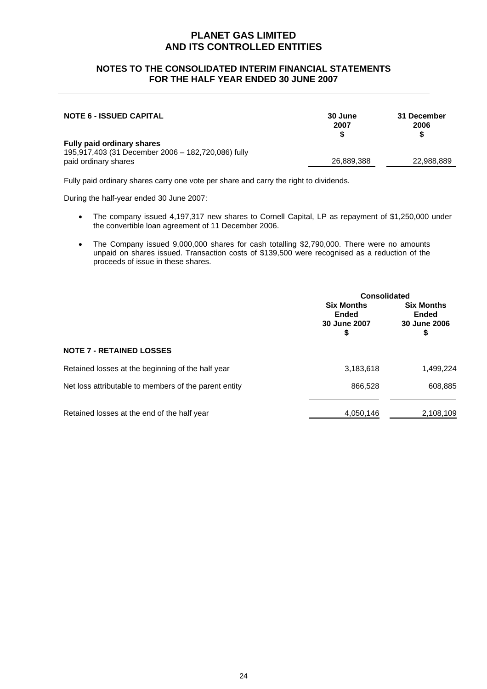### **NOTES TO THE CONSOLIDATED INTERIM FINANCIAL STATEMENTS FOR THE HALF YEAR ENDED 30 JUNE 2007**

| <b>NOTE 6 - ISSUED CAPITAL</b>                                                                                  | 30 June<br>2007 | 31 December<br>2006<br>S |
|-----------------------------------------------------------------------------------------------------------------|-----------------|--------------------------|
| <b>Fully paid ordinary shares</b><br>195,917,403 (31 December 2006 - 182,720,086) fully<br>paid ordinary shares | 26,889,388      | 22,988,889               |

Fully paid ordinary shares carry one vote per share and carry the right to dividends.

During the half-year ended 30 June 2007:

- The company issued 4,197,317 new shares to Cornell Capital, LP as repayment of \$1,250,000 under the convertible loan agreement of 11 December 2006.
- The Company issued 9,000,000 shares for cash totalling \$2,790,000. There were no amounts unpaid on shares issued. Transaction costs of \$139,500 were recognised as a reduction of the proceeds of issue in these shares.

|                                                       |                                                        | <b>Consolidated</b>                                     |  |
|-------------------------------------------------------|--------------------------------------------------------|---------------------------------------------------------|--|
|                                                       | <b>Six Months</b><br><b>Ended</b><br>30 June 2007<br>S | <b>Six Months</b><br><b>Ended</b><br>30 June 2006<br>\$ |  |
| <b>NOTE 7 - RETAINED LOSSES</b>                       |                                                        |                                                         |  |
| Retained losses at the beginning of the half year     | 3,183,618                                              | 1,499,224                                               |  |
| Net loss attributable to members of the parent entity | 866,528                                                | 608,885                                                 |  |
| Retained losses at the end of the half year           | 4,050,146                                              | 2,108,109                                               |  |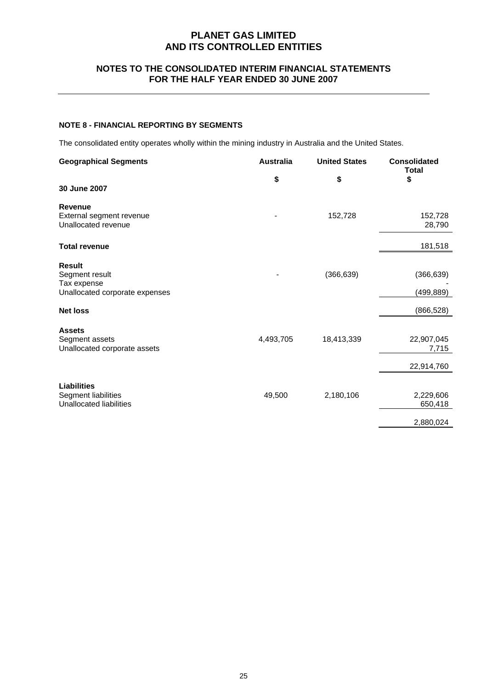### **NOTES TO THE CONSOLIDATED INTERIM FINANCIAL STATEMENTS FOR THE HALF YEAR ENDED 30 JUNE 2007**

#### **NOTE 8 - FINANCIAL REPORTING BY SEGMENTS**

The consolidated entity operates wholly within the mining industry in Australia and the United States.

| <b>Geographical Segments</b>                                                     | <b>Australia</b> | <b>United States</b> | <b>Consolidated</b><br><b>Total</b> |
|----------------------------------------------------------------------------------|------------------|----------------------|-------------------------------------|
| 30 June 2007                                                                     | \$               | \$                   | \$                                  |
| <b>Revenue</b><br>External segment revenue<br>Unallocated revenue                |                  | 152,728              | 152,728<br>28,790                   |
| <b>Total revenue</b>                                                             |                  |                      | 181,518                             |
| <b>Result</b><br>Segment result<br>Tax expense<br>Unallocated corporate expenses |                  | (366, 639)           | (366, 639)<br>(499, 889)            |
| <b>Net loss</b>                                                                  |                  |                      | (866, 528)                          |
| <b>Assets</b><br>Segment assets<br>Unallocated corporate assets                  | 4,493,705        | 18,413,339           | 22,907,045<br>7,715                 |
|                                                                                  |                  |                      | 22,914,760                          |
| <b>Liabilities</b><br>Segment liabilities<br>Unallocated liabilities             | 49,500           | 2,180,106            | 2,229,606<br>650,418<br>2,880,024   |
|                                                                                  |                  |                      |                                     |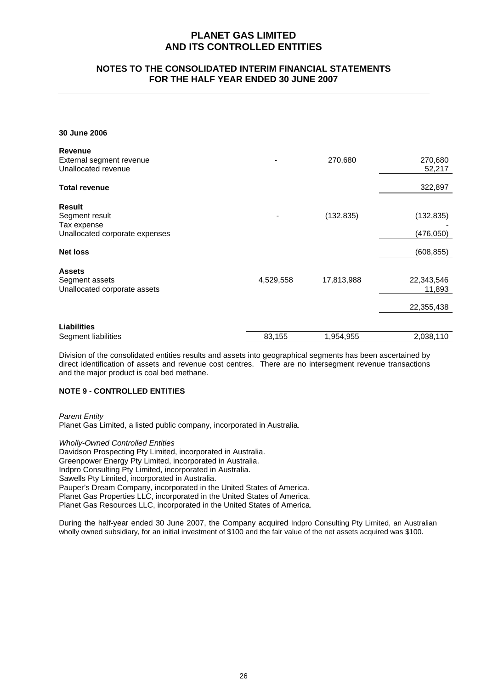### **NOTES TO THE CONSOLIDATED INTERIM FINANCIAL STATEMENTS FOR THE HALF YEAR ENDED 30 JUNE 2007**

**30 June 2006** 

| <b>Revenue</b>                 |           |            |            |
|--------------------------------|-----------|------------|------------|
| External segment revenue       |           | 270,680    | 270,680    |
| Unallocated revenue            |           |            | 52,217     |
| <b>Total revenue</b>           |           |            | 322,897    |
| Result                         |           |            |            |
| Segment result                 |           | (132, 835) | (132, 835) |
| Tax expense                    |           |            |            |
| Unallocated corporate expenses |           |            | (476, 050) |
| <b>Net loss</b>                |           |            | (608, 855) |
| <b>Assets</b>                  |           |            |            |
| Segment assets                 | 4,529,558 | 17,813,988 | 22,343,546 |
| Unallocated corporate assets   |           |            | 11,893     |
|                                |           |            | 22,355,438 |
|                                |           |            |            |
| <b>Liabilities</b>             |           |            |            |
| Segment liabilities            | 83,155    | 1,954,955  | 2,038,110  |

Division of the consolidated entities results and assets into geographical segments has been ascertained by direct identification of assets and revenue cost centres. There are no intersegment revenue transactions and the major product is coal bed methane.

#### **NOTE 9 - CONTROLLED ENTITIES**

*Parent Entity* 

Planet Gas Limited, a listed public company, incorporated in Australia.

*Wholly-Owned Controlled Entities* 

Davidson Prospecting Pty Limited, incorporated in Australia. Greenpower Energy Pty Limited, incorporated in Australia. Indpro Consulting Pty Limited, incorporated in Australia. Sawells Pty Limited, incorporated in Australia. Pauper's Dream Company, incorporated in the United States of America. Planet Gas Properties LLC, incorporated in the United States of America. Planet Gas Resources LLC, incorporated in the United States of America.

During the half-year ended 30 June 2007, the Company acquired Indpro Consulting Pty Limited, an Australian wholly owned subsidiary, for an initial investment of \$100 and the fair value of the net assets acquired was \$100.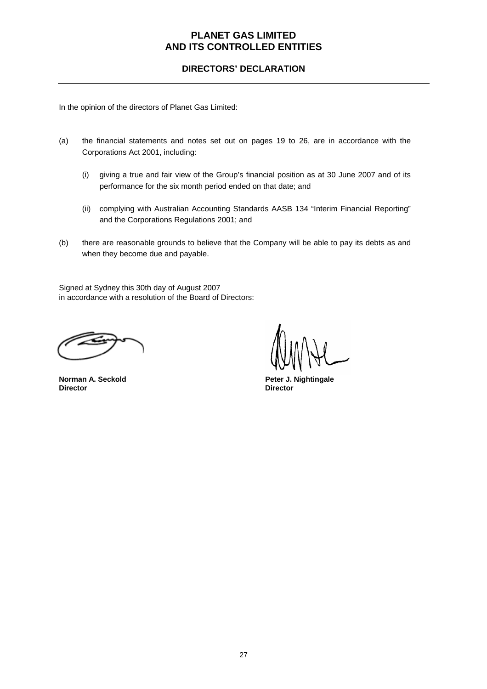### **DIRECTORS' DECLARATION**

In the opinion of the directors of Planet Gas Limited:

- (a) the financial statements and notes set out on pages 19 to 26, are in accordance with the Corporations Act 2001, including:
	- (i) giving a true and fair view of the Group's financial position as at 30 June 2007 and of its performance for the six month period ended on that date; and
	- (ii) complying with Australian Accounting Standards AASB 134 "Interim Financial Reporting" and the Corporations Regulations 2001; and
- (b) there are reasonable grounds to believe that the Company will be able to pay its debts as and when they become due and payable.

Signed at Sydney this 30th day of August 2007 in accordance with a resolution of the Board of Directors:

**Director Director** 

**Norman A. Seckold Peter J. Nightingale Peter J. Nightingale**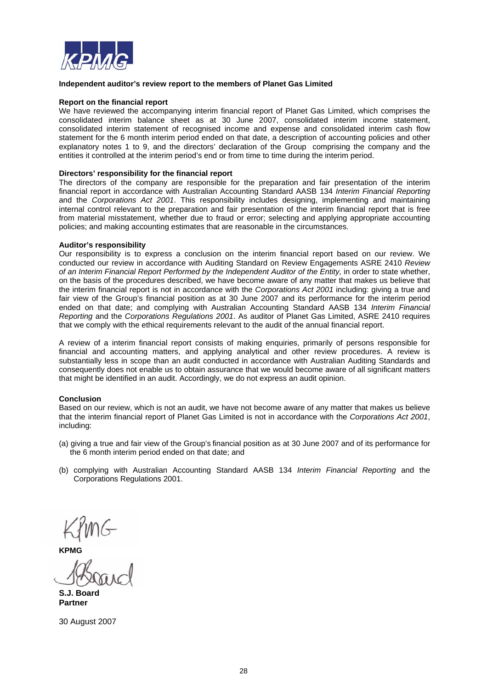

#### **Independent auditor's review report to the members of Planet Gas Limited**

#### **Report on the financial report**

We have reviewed the accompanying interim financial report of Planet Gas Limited, which comprises the consolidated interim balance sheet as at 30 June 2007, consolidated interim income statement, consolidated interim statement of recognised income and expense and consolidated interim cash flow statement for the 6 month interim period ended on that date, a description of accounting policies and other explanatory notes 1 to 9, and the directors' declaration of the Group comprising the company and the entities it controlled at the interim period's end or from time to time during the interim period.

#### **Directors' responsibility for the financial report**

The directors of the company are responsible for the preparation and fair presentation of the interim financial report in accordance with Australian Accounting Standard AASB 134 *Interim Financial Reporting* and the *Corporations Act 2001*. This responsibility includes designing, implementing and maintaining internal control relevant to the preparation and fair presentation of the interim financial report that is free from material misstatement, whether due to fraud or error; selecting and applying appropriate accounting policies; and making accounting estimates that are reasonable in the circumstances.

#### **Auditor's responsibility**

Our responsibility is to express a conclusion on the interim financial report based on our review. We conducted our review in accordance with Auditing Standard on Review Engagements ASRE 2410 *Review of an Interim Financial Report Performed by the Independent Auditor of the Entity,* in order to state whether, on the basis of the procedures described, we have become aware of any matter that makes us believe that the interim financial report is not in accordance with the *Corporations Act 2001* including: giving a true and fair view of the Group's financial position as at 30 June 2007 and its performance for the interim period ended on that date; and complying with Australian Accounting Standard AASB 134 *Interim Financial Reporting* and the *Corporations Regulations 2001*. As auditor of Planet Gas Limited, ASRE 2410 requires that we comply with the ethical requirements relevant to the audit of the annual financial report.

A review of a interim financial report consists of making enquiries, primarily of persons responsible for financial and accounting matters, and applying analytical and other review procedures. A review is substantially less in scope than an audit conducted in accordance with Australian Auditing Standards and consequently does not enable us to obtain assurance that we would become aware of all significant matters that might be identified in an audit. Accordingly, we do not express an audit opinion.

#### **Conclusion**

Based on our review, which is not an audit, we have not become aware of any matter that makes us believe that the interim financial report of Planet Gas Limited is not in accordance with the *Corporations Act 2001*, including:

- (a) giving a true and fair view of the Group's financial position as at 30 June 2007 and of its performance for the 6 month interim period ended on that date; and
- (b) complying with Australian Accounting Standard AASB 134 *Interim Financial Reporting* and the Corporations Regulations 2001.

 $KPMG$ <br>  $KPMG$ 

**S.J. Board Partner** 

30 August 2007